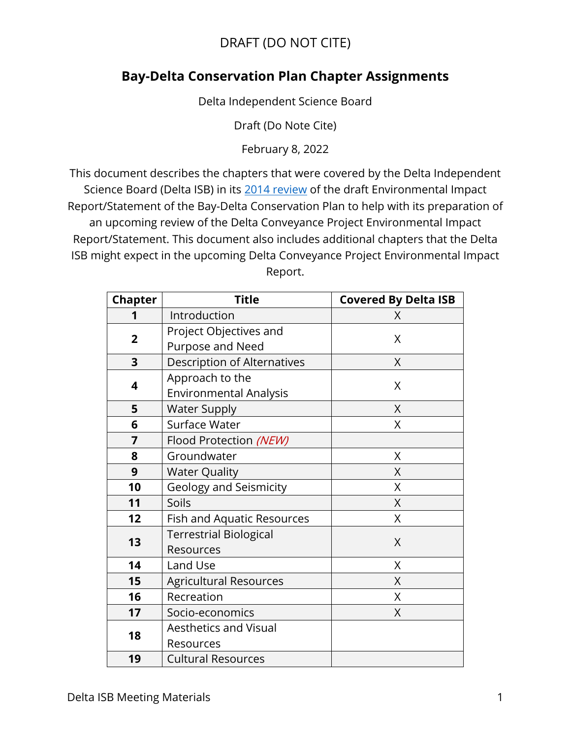## DRAFT (DO NOT CITE)

## **Bay-Delta Conservation Plan Chapter Assignments**

Delta Independent Science Board

Draft (Do Note Cite)

February 8, 2022

This document describes the chapters that were covered by the Delta Independent Science Board (Delta ISB) in its [2014 review](https://deltacouncil.app.box.com/s/7c59n7mpcwnf5sbiie8ldi7lo992if2u) of the draft Environmental Impact Report/Statement of the Bay-Delta Conservation Plan to help with its preparation of an upcoming review of the Delta Conveyance Project Environmental Impact Report/Statement. This document also includes additional chapters that the Delta ISB might expect in the upcoming Delta Conveyance Project Environmental Impact Report.

| <b>Chapter</b> | <b>Title</b>                                     | <b>Covered By Delta ISB</b> |
|----------------|--------------------------------------------------|-----------------------------|
|                | Introduction                                     | X                           |
| $\overline{2}$ | Project Objectives and<br>Purpose and Need       | X                           |
| 3              | Description of Alternatives                      | X                           |
| 4              | Approach to the<br><b>Environmental Analysis</b> | X                           |
| 5              | <b>Water Supply</b>                              | X                           |
| 6              | Surface Water                                    | X                           |
| 7              | Flood Protection (NEW)                           |                             |
| 8              | Groundwater                                      | X                           |
| 9              | <b>Water Quality</b>                             | X                           |
| 10             | <b>Geology and Seismicity</b>                    | X                           |
| 11             | Soils                                            | X                           |
| 12             | Fish and Aquatic Resources                       | X                           |
| 13             | <b>Terrestrial Biological</b><br>Resources       | X                           |
| 14             | Land Use                                         | X                           |
| 15             | <b>Agricultural Resources</b>                    | X                           |
| 16             | Recreation                                       | X                           |
| 17             | Socio-economics                                  | X                           |
| 18             | <b>Aesthetics and Visual</b><br>Resources        |                             |
| 19             | <b>Cultural Resources</b>                        |                             |